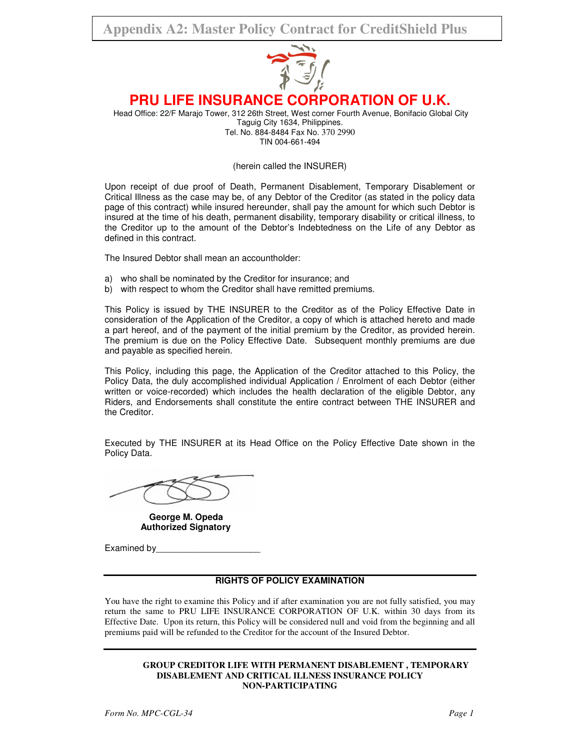# **Appendix A2: Master Policy Contract for CreditShield Plus**



# **PRU LIFE INSURANCE CORPORATION OF U.K.**

Head Office: 22/F Marajo Tower, 312 26th Street, West corner Fourth Avenue, Bonifacio Global City Taguig City 1634, Philippines. Tel. No. 884-8484 Fax No. 370 2990 TIN 004-661-494

(herein called the INSURER)

Upon receipt of due proof of Death, Permanent Disablement, Temporary Disablement or Critical Illness as the case may be, of any Debtor of the Creditor (as stated in the policy data page of this contract) while insured hereunder, shall pay the amount for which such Debtor is insured at the time of his death, permanent disability, temporary disability or critical illness, to the Creditor up to the amount of the Debtor's Indebtedness on the Life of any Debtor as defined in this contract.

The Insured Debtor shall mean an accountholder:

- a) who shall be nominated by the Creditor for insurance; and
- b) with respect to whom the Creditor shall have remitted premiums.

This Policy is issued by THE INSURER to the Creditor as of the Policy Effective Date in consideration of the Application of the Creditor, a copy of which is attached hereto and made a part hereof, and of the payment of the initial premium by the Creditor, as provided herein. The premium is due on the Policy Effective Date. Subsequent monthly premiums are due and payable as specified herein.

This Policy, including this page, the Application of the Creditor attached to this Policy, the Policy Data, the duly accomplished individual Application / Enrolment of each Debtor (either written or voice-recorded) which includes the health declaration of the eligible Debtor, any Riders, and Endorsements shall constitute the entire contract between THE INSURER and the Creditor.

Executed by THE INSURER at its Head Office on the Policy Effective Date shown in the Policy Data.

 **George M. Opeda Authorized Signatory** 

Examined by

# **RIGHTS OF POLICY EXAMINATION**

You have the right to examine this Policy and if after examination you are not fully satisfied, you may return the same to PRU LIFE INSURANCE CORPORATION OF U.K. within 30 days from its Effective Date. Upon its return, this Policy will be considered null and void from the beginning and all premiums paid will be refunded to the Creditor for the account of the Insured Debtor.

#### **GROUP CREDITOR LIFE WITH PERMANENT DISABLEMENT , TEMPORARY DISABLEMENT AND CRITICAL ILLNESS INSURANCE POLICY NON-PARTICIPATING**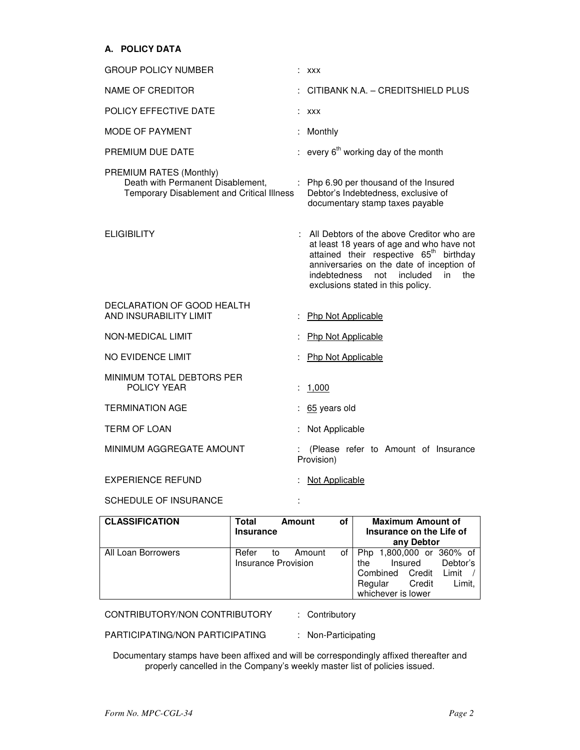# **A. POLICY DATA**

| <b>GROUP POLICY NUMBER</b>                                                                                 | : XXX                                                                                                                                                                                                                                                                             |
|------------------------------------------------------------------------------------------------------------|-----------------------------------------------------------------------------------------------------------------------------------------------------------------------------------------------------------------------------------------------------------------------------------|
| <b>NAME OF CREDITOR</b>                                                                                    | CITIBANK N.A. - CREDITSHIELD PLUS                                                                                                                                                                                                                                                 |
| POLICY EFFECTIVE DATE                                                                                      | : XXX                                                                                                                                                                                                                                                                             |
| <b>MODE OF PAYMENT</b>                                                                                     | Monthly                                                                                                                                                                                                                                                                           |
| PREMIUM DUE DATE                                                                                           | every $6th$ working day of the month                                                                                                                                                                                                                                              |
| PREMIUM RATES (Monthly)<br>Death with Permanent Disablement,<br>Temporary Disablement and Critical Illness | : Php 6.90 per thousand of the Insured<br>Debtor's Indebtedness, exclusive of<br>documentary stamp taxes payable                                                                                                                                                                  |
| <b>ELIGIBILITY</b>                                                                                         | : All Debtors of the above Creditor who are<br>at least 18 years of age and who have not<br>attained their respective 65 <sup>th</sup> birthday<br>anniversaries on the date of inception of<br>the<br>indebtedness<br>not<br>included<br>in<br>exclusions stated in this policy. |
| DECLARATION OF GOOD HEALTH<br>AND INSURABILITY LIMIT                                                       | Php Not Applicable                                                                                                                                                                                                                                                                |
| NON-MEDICAL LIMIT                                                                                          | : Php Not Applicable                                                                                                                                                                                                                                                              |
| NO EVIDENCE LIMIT                                                                                          | Php Not Applicable                                                                                                                                                                                                                                                                |
| MINIMUM TOTAL DEBTORS PER<br>POLICY YEAR                                                                   | 1,000                                                                                                                                                                                                                                                                             |
| <b>TERMINATION AGE</b>                                                                                     | : 65 years old                                                                                                                                                                                                                                                                    |
| <b>TERM OF LOAN</b>                                                                                        | : Not Applicable                                                                                                                                                                                                                                                                  |
| MINIMUM AGGREGATE AMOUNT                                                                                   | (Please refer to Amount of Insurance<br>Provision)                                                                                                                                                                                                                                |
| <b>EXPERIENCE REFUND</b>                                                                                   | Not Applicable                                                                                                                                                                                                                                                                    |
| <b>SCHEDULE OF INSURANCE</b>                                                                               |                                                                                                                                                                                                                                                                                   |

| <b>CLASSIFICATION</b> | Total<br>Amount     |            | of     | <b>Maximum Amount of</b> |                          |        |         |                      |          |  |
|-----------------------|---------------------|------------|--------|--------------------------|--------------------------|--------|---------|----------------------|----------|--|
|                       | <b>Insurance</b>    |            |        |                          | Insurance on the Life of |        |         |                      |          |  |
|                       |                     | any Debtor |        |                          |                          |        |         |                      |          |  |
| All Loan Borrowers    | Refer               | to         | Amount | οf                       | <b>Php</b>               |        |         | 1,800,000 or 360% of |          |  |
|                       | Insurance Provision |            |        |                          | the                      |        | Insured |                      | Debtor's |  |
|                       |                     |            |        |                          | Combined                 | Credit | Limit   |                      |          |  |
|                       |                     |            |        |                          | Regular                  |        | Credit  | Limit.               |          |  |
|                       |                     |            |        |                          | whichever is lower       |        |         |                      |          |  |

CONTRIBUTORY/NON CONTRIBUTORY : Contributory

PARTICIPATING/NON PARTICIPATING : Non-Participating

Documentary stamps have been affixed and will be correspondingly affixed thereafter and properly cancelled in the Company's weekly master list of policies issued.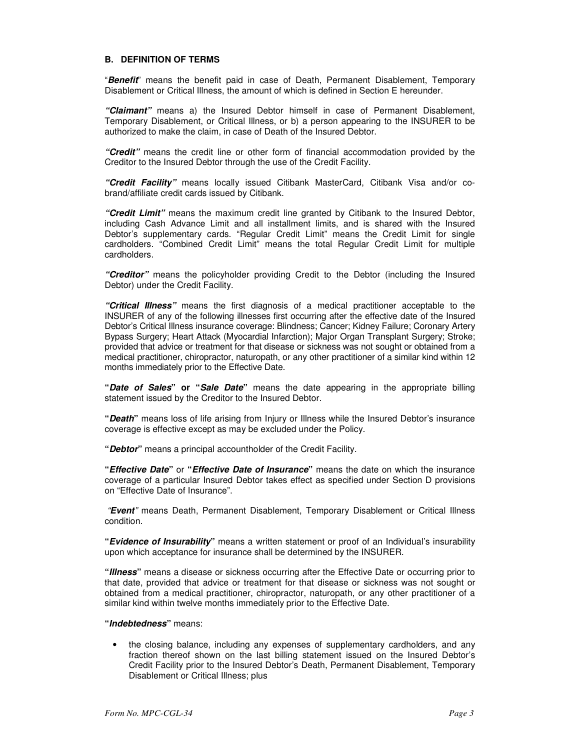#### **B. DEFINITION OF TERMS**

"**Benefit**" means the benefit paid in case of Death, Permanent Disablement, Temporary Disablement or Critical Illness, the amount of which is defined in Section E hereunder.

**"Claimant"** means a) the Insured Debtor himself in case of Permanent Disablement, Temporary Disablement, or Critical Illness, or b) a person appearing to the INSURER to be authorized to make the claim, in case of Death of the Insured Debtor.

**"Credit"** means the credit line or other form of financial accommodation provided by the Creditor to the Insured Debtor through the use of the Credit Facility.

**"Credit Facility"** means locally issued Citibank MasterCard, Citibank Visa and/or cobrand/affiliate credit cards issued by Citibank.

**"Credit Limit"** means the maximum credit line granted by Citibank to the Insured Debtor, including Cash Advance Limit and all installment limits, and is shared with the Insured Debtor's supplementary cards. "Regular Credit Limit" means the Credit Limit for single cardholders. "Combined Credit Limit" means the total Regular Credit Limit for multiple cardholders.

**"Creditor"** means the policyholder providing Credit to the Debtor (including the Insured Debtor) under the Credit Facility.

**"Critical Illness"** means the first diagnosis of a medical practitioner acceptable to the INSURER of any of the following illnesses first occurring after the effective date of the Insured Debtor's Critical Illness insurance coverage: Blindness; Cancer; Kidney Failure; Coronary Artery Bypass Surgery; Heart Attack (Myocardial Infarction); Major Organ Transplant Surgery; Stroke; provided that advice or treatment for that disease or sickness was not sought or obtained from a medical practitioner, chiropractor, naturopath, or any other practitioner of a similar kind within 12 months immediately prior to the Effective Date.

**"Date of Sales" or "Sale Date"** means the date appearing in the appropriate billing statement issued by the Creditor to the Insured Debtor.

**"Death"** means loss of life arising from Injury or Illness while the Insured Debtor's insurance coverage is effective except as may be excluded under the Policy.

**"Debtor"** means a principal accountholder of the Credit Facility.

**"Effective Date"** or **"Effective Date of Insurance"** means the date on which the insurance coverage of a particular Insured Debtor takes effect as specified under Section D provisions on "Effective Date of Insurance".

 "**Event**" means Death, Permanent Disablement, Temporary Disablement or Critical Illness condition.

**"Evidence of Insurability"** means a written statement or proof of an Individual's insurability upon which acceptance for insurance shall be determined by the INSURER.

**"Illness"** means a disease or sickness occurring after the Effective Date or occurring prior to that date, provided that advice or treatment for that disease or sickness was not sought or obtained from a medical practitioner, chiropractor, naturopath, or any other practitioner of a similar kind within twelve months immediately prior to the Effective Date.

#### **"Indebtedness"** means:

• the closing balance, including any expenses of supplementary cardholders, and any fraction thereof shown on the last billing statement issued on the Insured Debtor's Credit Facility prior to the Insured Debtor's Death, Permanent Disablement, Temporary Disablement or Critical Illness; plus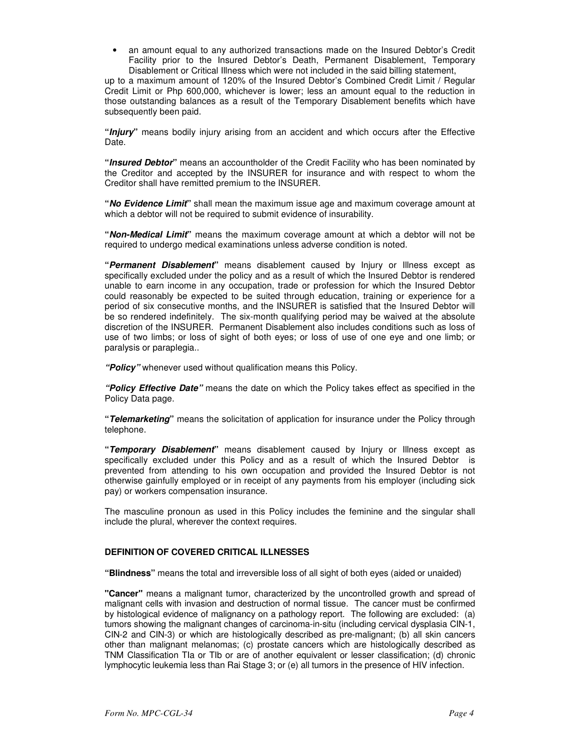• an amount equal to any authorized transactions made on the Insured Debtor's Credit Facility prior to the Insured Debtor's Death, Permanent Disablement, Temporary Disablement or Critical Illness which were not included in the said billing statement,

up to a maximum amount of 120% of the Insured Debtor's Combined Credit Limit / Regular Credit Limit or Php 600,000, whichever is lower; less an amount equal to the reduction in those outstanding balances as a result of the Temporary Disablement benefits which have subsequently been paid.

**"Injury"** means bodily injury arising from an accident and which occurs after the Effective Date.

**"Insured Debtor"** means an accountholder of the Credit Facility who has been nominated by the Creditor and accepted by the INSURER for insurance and with respect to whom the Creditor shall have remitted premium to the INSURER.

**"No Evidence Limit"** shall mean the maximum issue age and maximum coverage amount at which a debtor will not be required to submit evidence of insurability.

**"Non-Medical Limit"** means the maximum coverage amount at which a debtor will not be required to undergo medical examinations unless adverse condition is noted.

**"Permanent Disablement"** means disablement caused by Injury or Illness except as specifically excluded under the policy and as a result of which the Insured Debtor is rendered unable to earn income in any occupation, trade or profession for which the Insured Debtor could reasonably be expected to be suited through education, training or experience for a period of six consecutive months, and the INSURER is satisfied that the Insured Debtor will be so rendered indefinitely. The six-month qualifying period may be waived at the absolute discretion of the INSURER. Permanent Disablement also includes conditions such as loss of use of two limbs; or loss of sight of both eyes; or loss of use of one eye and one limb; or paralysis or paraplegia..

**"Policy"** whenever used without qualification means this Policy.

**"Policy Effective Date"** means the date on which the Policy takes effect as specified in the Policy Data page.

**"Telemarketing"** means the solicitation of application for insurance under the Policy through telephone.

**"Temporary Disablement"** means disablement caused by Injury or Illness except as specifically excluded under this Policy and as a result of which the Insured Debtor is prevented from attending to his own occupation and provided the Insured Debtor is not otherwise gainfully employed or in receipt of any payments from his employer (including sick pay) or workers compensation insurance.

The masculine pronoun as used in this Policy includes the feminine and the singular shall include the plural, wherever the context requires.

# **DEFINITION OF COVERED CRITICAL ILLNESSES**

**"Blindness"** means the total and irreversible loss of all sight of both eyes (aided or unaided)

**"Cancer"** means a malignant tumor, characterized by the uncontrolled growth and spread of malignant cells with invasion and destruction of normal tissue. The cancer must be confirmed by histological evidence of malignancy on a pathology report. The following are excluded: (a) tumors showing the malignant changes of carcinoma-in-situ (including cervical dysplasia CIN-1, CIN-2 and CIN-3) or which are histologically described as pre-malignant; (b) all skin cancers other than malignant melanomas; (c) prostate cancers which are histologically described as TNM Classification TIa or TIb or are of another equivalent or lesser classification; (d) chronic lymphocytic leukemia less than Rai Stage 3; or (e) all tumors in the presence of HIV infection.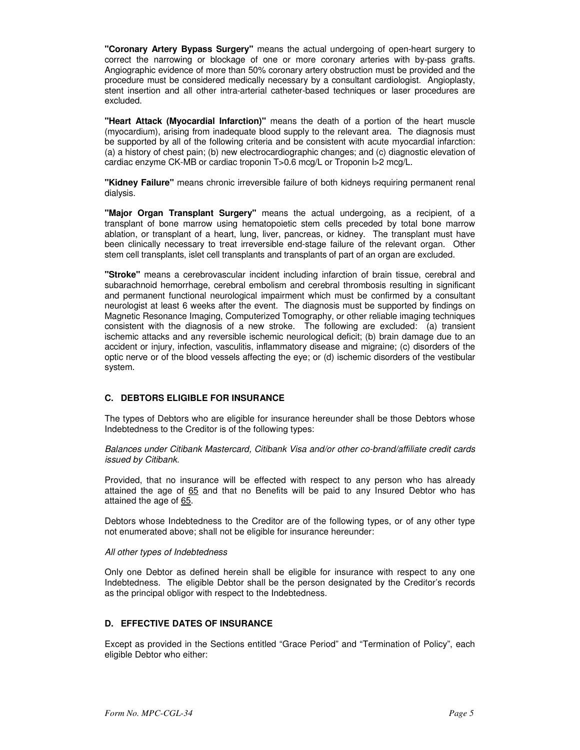**"Coronary Artery Bypass Surgery"** means the actual undergoing of open-heart surgery to correct the narrowing or blockage of one or more coronary arteries with by-pass grafts. Angiographic evidence of more than 50% coronary artery obstruction must be provided and the procedure must be considered medically necessary by a consultant cardiologist. Angioplasty, stent insertion and all other intra-arterial catheter-based techniques or laser procedures are excluded.

**"Heart Attack (Myocardial Infarction)"** means the death of a portion of the heart muscle (myocardium), arising from inadequate blood supply to the relevant area. The diagnosis must be supported by all of the following criteria and be consistent with acute myocardial infarction: (a) a history of chest pain; (b) new electrocardiographic changes; and (c) diagnostic elevation of cardiac enzyme CK-MB or cardiac troponin T>0.6 mcg/L or Troponin I>2 mcg/L.

**"Kidney Failure"** means chronic irreversible failure of both kidneys requiring permanent renal dialysis.

**"Major Organ Transplant Surgery"** means the actual undergoing, as a recipient, of a transplant of bone marrow using hematopoietic stem cells preceded by total bone marrow ablation, or transplant of a heart, lung, liver, pancreas, or kidney. The transplant must have been clinically necessary to treat irreversible end-stage failure of the relevant organ. Other stem cell transplants, islet cell transplants and transplants of part of an organ are excluded.

**"Stroke"** means a cerebrovascular incident including infarction of brain tissue, cerebral and subarachnoid hemorrhage, cerebral embolism and cerebral thrombosis resulting in significant and permanent functional neurological impairment which must be confirmed by a consultant neurologist at least 6 weeks after the event. The diagnosis must be supported by findings on Magnetic Resonance Imaging, Computerized Tomography, or other reliable imaging techniques consistent with the diagnosis of a new stroke. The following are excluded: (a) transient ischemic attacks and any reversible ischemic neurological deficit; (b) brain damage due to an accident or injury, infection, vasculitis, inflammatory disease and migraine; (c) disorders of the optic nerve or of the blood vessels affecting the eye; or (d) ischemic disorders of the vestibular system.

# **C. DEBTORS ELIGIBLE FOR INSURANCE**

The types of Debtors who are eligible for insurance hereunder shall be those Debtors whose Indebtedness to the Creditor is of the following types:

Balances under Citibank Mastercard, Citibank Visa and/or other co-brand/affiliate credit cards issued by Citibank.

Provided, that no insurance will be effected with respect to any person who has already attained the age of 65 and that no Benefits will be paid to any Insured Debtor who has attained the age of 65.

Debtors whose Indebtedness to the Creditor are of the following types, or of any other type not enumerated above; shall not be eligible for insurance hereunder:

#### All other types of Indebtedness

Only one Debtor as defined herein shall be eligible for insurance with respect to any one Indebtedness. The eligible Debtor shall be the person designated by the Creditor's records as the principal obligor with respect to the Indebtedness.

# **D. EFFECTIVE DATES OF INSURANCE**

Except as provided in the Sections entitled "Grace Period" and "Termination of Policy", each eligible Debtor who either: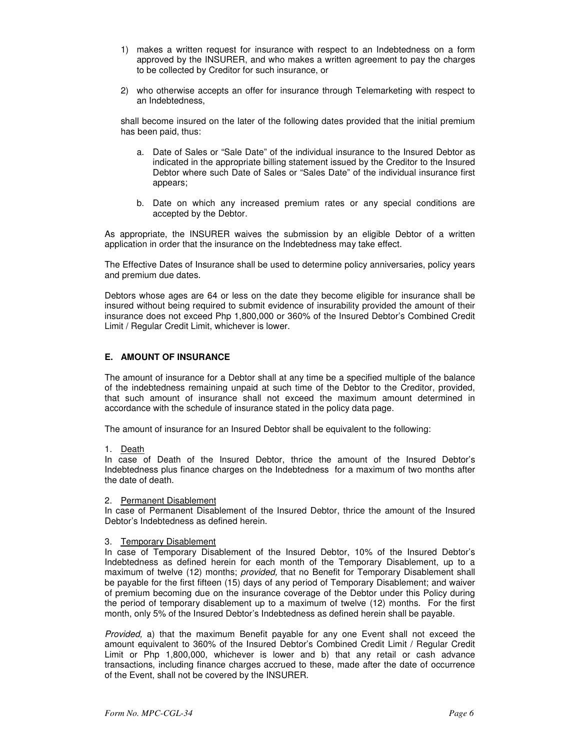- 1) makes a written request for insurance with respect to an Indebtedness on a form approved by the INSURER, and who makes a written agreement to pay the charges to be collected by Creditor for such insurance, or
- 2) who otherwise accepts an offer for insurance through Telemarketing with respect to an Indebtedness,

shall become insured on the later of the following dates provided that the initial premium has been paid, thus:

- a. Date of Sales or "Sale Date" of the individual insurance to the Insured Debtor as indicated in the appropriate billing statement issued by the Creditor to the Insured Debtor where such Date of Sales or "Sales Date" of the individual insurance first appears;
- b. Date on which any increased premium rates or any special conditions are accepted by the Debtor.

As appropriate, the INSURER waives the submission by an eligible Debtor of a written application in order that the insurance on the Indebtedness may take effect.

The Effective Dates of Insurance shall be used to determine policy anniversaries, policy years and premium due dates.

Debtors whose ages are 64 or less on the date they become eligible for insurance shall be insured without being required to submit evidence of insurability provided the amount of their insurance does not exceed Php 1,800,000 or 360% of the Insured Debtor's Combined Credit Limit / Regular Credit Limit, whichever is lower.

# **E. AMOUNT OF INSURANCE**

The amount of insurance for a Debtor shall at any time be a specified multiple of the balance of the indebtedness remaining unpaid at such time of the Debtor to the Creditor, provided, that such amount of insurance shall not exceed the maximum amount determined in accordance with the schedule of insurance stated in the policy data page.

The amount of insurance for an Insured Debtor shall be equivalent to the following:

1. Death

In case of Death of the Insured Debtor, thrice the amount of the Insured Debtor's Indebtedness plus finance charges on the Indebtedness for a maximum of two months after the date of death.

#### 2. Permanent Disablement

In case of Permanent Disablement of the Insured Debtor, thrice the amount of the Insured Debtor's Indebtedness as defined herein.

#### 3. Temporary Disablement

In case of Temporary Disablement of the Insured Debtor, 10% of the Insured Debtor's Indebtedness as defined herein for each month of the Temporary Disablement, up to a maximum of twelve (12) months; *provided*, that no Benefit for Temporary Disablement shall be payable for the first fifteen (15) days of any period of Temporary Disablement; and waiver of premium becoming due on the insurance coverage of the Debtor under this Policy during the period of temporary disablement up to a maximum of twelve (12) months. For the first month, only 5% of the Insured Debtor's Indebtedness as defined herein shall be payable.

Provided, a) that the maximum Benefit payable for any one Event shall not exceed the amount equivalent to 360% of the Insured Debtor's Combined Credit Limit / Regular Credit Limit or Php 1,800,000, whichever is lower and b) that any retail or cash advance transactions, including finance charges accrued to these, made after the date of occurrence of the Event, shall not be covered by the INSURER.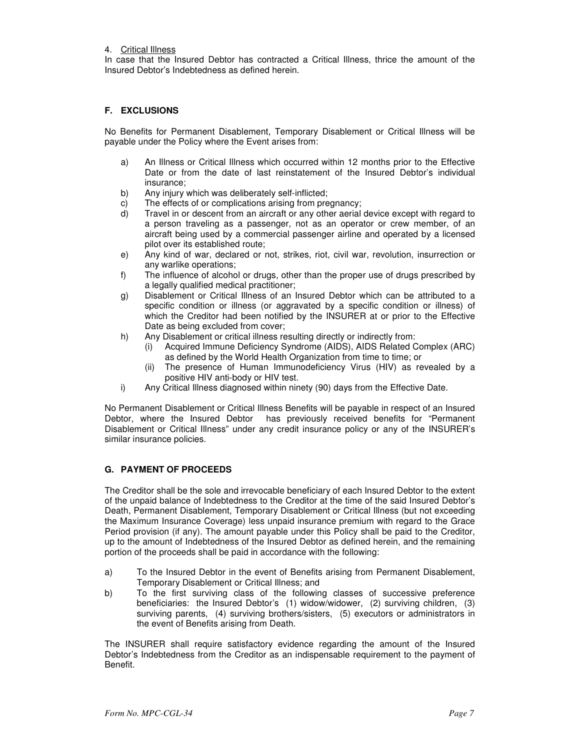4. Critical Illness

In case that the Insured Debtor has contracted a Critical Illness, thrice the amount of the Insured Debtor's Indebtedness as defined herein.

# **F. EXCLUSIONS**

 No Benefits for Permanent Disablement, Temporary Disablement or Critical Illness will be payable under the Policy where the Event arises from:

- a) An Illness or Critical Illness which occurred within 12 months prior to the Effective Date or from the date of last reinstatement of the Insured Debtor's individual insurance;
- b) Any injury which was deliberately self-inflicted;
- c) The effects of or complications arising from pregnancy;
- d) Travel in or descent from an aircraft or any other aerial device except with regard to a person traveling as a passenger, not as an operator or crew member, of an aircraft being used by a commercial passenger airline and operated by a licensed pilot over its established route;
- e) Any kind of war, declared or not, strikes, riot, civil war, revolution, insurrection or any warlike operations;
- f) The influence of alcohol or drugs, other than the proper use of drugs prescribed by a legally qualified medical practitioner;
- g) Disablement or Critical Illness of an Insured Debtor which can be attributed to a specific condition or illness (or aggravated by a specific condition or illness) of which the Creditor had been notified by the INSURER at or prior to the Effective Date as being excluded from cover;
- h) Any Disablement or critical illness resulting directly or indirectly from:
	- Acquired Immune Deficiency Syndrome (AIDS), AIDS Related Complex (ARC) as defined by the World Health Organization from time to time; or
	- (ii) The presence of Human Immunodeficiency Virus (HIV) as revealed by a positive HIV anti-body or HIV test.
- i) Any Critical Illness diagnosed within ninety (90) days from the Effective Date.

No Permanent Disablement or Critical Illness Benefits will be payable in respect of an Insured Debtor, where the Insured Debtor has previously received benefits for "Permanent Disablement or Critical Illness" under any credit insurance policy or any of the INSURER's similar insurance policies.

# **G. PAYMENT OF PROCEEDS**

The Creditor shall be the sole and irrevocable beneficiary of each Insured Debtor to the extent of the unpaid balance of Indebtedness to the Creditor at the time of the said Insured Debtor's Death, Permanent Disablement, Temporary Disablement or Critical Illness (but not exceeding the Maximum Insurance Coverage) less unpaid insurance premium with regard to the Grace Period provision (if any). The amount payable under this Policy shall be paid to the Creditor, up to the amount of Indebtedness of the Insured Debtor as defined herein, and the remaining portion of the proceeds shall be paid in accordance with the following:

- a) To the Insured Debtor in the event of Benefits arising from Permanent Disablement, Temporary Disablement or Critical Illness; and
- b) To the first surviving class of the following classes of successive preference beneficiaries: the Insured Debtor's (1) widow/widower, (2) surviving children, (3) surviving parents, (4) surviving brothers/sisters, (5) executors or administrators in the event of Benefits arising from Death.

The INSURER shall require satisfactory evidence regarding the amount of the Insured Debtor's Indebtedness from the Creditor as an indispensable requirement to the payment of Benefit.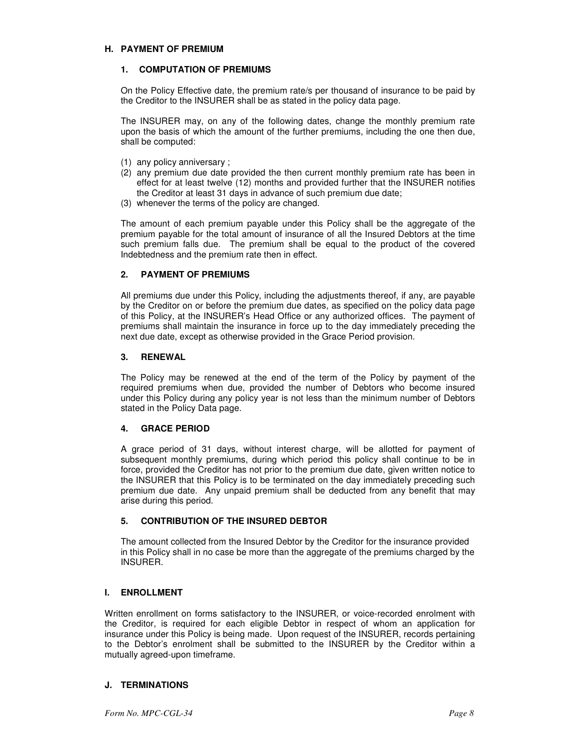### **H. PAYMENT OF PREMIUM**

# **1. COMPUTATION OF PREMIUMS**

On the Policy Effective date, the premium rate/s per thousand of insurance to be paid by the Creditor to the INSURER shall be as stated in the policy data page.

The INSURER may, on any of the following dates, change the monthly premium rate upon the basis of which the amount of the further premiums, including the one then due, shall be computed:

- (1) any policy anniversary ;
- (2) any premium due date provided the then current monthly premium rate has been in effect for at least twelve (12) months and provided further that the INSURER notifies the Creditor at least 31 days in advance of such premium due date;
- (3) whenever the terms of the policy are changed.

The amount of each premium payable under this Policy shall be the aggregate of the premium payable for the total amount of insurance of all the Insured Debtors at the time such premium falls due. The premium shall be equal to the product of the covered Indebtedness and the premium rate then in effect.

# **2. PAYMENT OF PREMIUMS**

All premiums due under this Policy, including the adjustments thereof, if any, are payable by the Creditor on or before the premium due dates, as specified on the policy data page of this Policy, at the INSURER's Head Office or any authorized offices. The payment of premiums shall maintain the insurance in force up to the day immediately preceding the next due date, except as otherwise provided in the Grace Period provision.

### **3. RENEWAL**

The Policy may be renewed at the end of the term of the Policy by payment of the required premiums when due, provided the number of Debtors who become insured under this Policy during any policy year is not less than the minimum number of Debtors stated in the Policy Data page.

# **4. GRACE PERIOD**

A grace period of 31 days, without interest charge, will be allotted for payment of subsequent monthly premiums, during which period this policy shall continue to be in force, provided the Creditor has not prior to the premium due date, given written notice to the INSURER that this Policy is to be terminated on the day immediately preceding such premium due date. Any unpaid premium shall be deducted from any benefit that may arise during this period.

# **5. CONTRIBUTION OF THE INSURED DEBTOR**

The amount collected from the Insured Debtor by the Creditor for the insurance provided in this Policy shall in no case be more than the aggregate of the premiums charged by the INSURER.

# **I. ENROLLMENT**

Written enrollment on forms satisfactory to the INSURER, or voice-recorded enrolment with the Creditor, is required for each eligible Debtor in respect of whom an application for insurance under this Policy is being made. Upon request of the INSURER, records pertaining to the Debtor's enrolment shall be submitted to the INSURER by the Creditor within a mutually agreed-upon timeframe.

# **J. TERMINATIONS**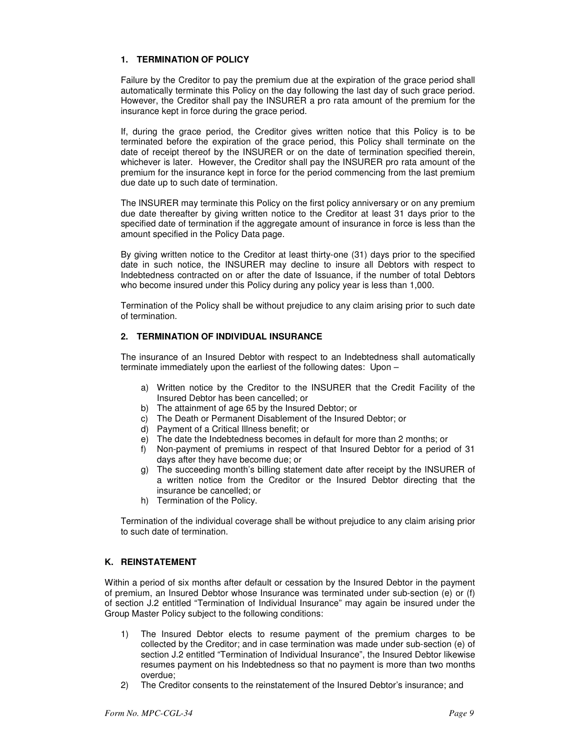# **1. TERMINATION OF POLICY**

Failure by the Creditor to pay the premium due at the expiration of the grace period shall automatically terminate this Policy on the day following the last day of such grace period. However, the Creditor shall pay the INSURER a pro rata amount of the premium for the insurance kept in force during the grace period.

If, during the grace period, the Creditor gives written notice that this Policy is to be terminated before the expiration of the grace period, this Policy shall terminate on the date of receipt thereof by the INSURER or on the date of termination specified therein, whichever is later. However, the Creditor shall pay the INSURER pro rata amount of the premium for the insurance kept in force for the period commencing from the last premium due date up to such date of termination.

The INSURER may terminate this Policy on the first policy anniversary or on any premium due date thereafter by giving written notice to the Creditor at least 31 days prior to the specified date of termination if the aggregate amount of insurance in force is less than the amount specified in the Policy Data page.

By giving written notice to the Creditor at least thirty-one (31) days prior to the specified date in such notice, the INSURER may decline to insure all Debtors with respect to Indebtedness contracted on or after the date of Issuance, if the number of total Debtors who become insured under this Policy during any policy year is less than 1,000.

Termination of the Policy shall be without prejudice to any claim arising prior to such date of termination.

# **2. TERMINATION OF INDIVIDUAL INSURANCE**

The insurance of an Insured Debtor with respect to an Indebtedness shall automatically terminate immediately upon the earliest of the following dates: Upon –

- a) Written notice by the Creditor to the INSURER that the Credit Facility of the Insured Debtor has been cancelled; or
- b) The attainment of age 65 by the Insured Debtor; or
- c) The Death or Permanent Disablement of the Insured Debtor; or
- d) Payment of a Critical Illness benefit; or
- e) The date the Indebtedness becomes in default for more than 2 months; or
- f) Non-payment of premiums in respect of that Insured Debtor for a period of 31 days after they have become due; or
- g) The succeeding month's billing statement date after receipt by the INSURER of a written notice from the Creditor or the Insured Debtor directing that the insurance be cancelled; or
- h) Termination of the Policy.

Termination of the individual coverage shall be without prejudice to any claim arising prior to such date of termination.

# **K. REINSTATEMENT**

 Within a period of six months after default or cessation by the Insured Debtor in the payment of premium, an Insured Debtor whose Insurance was terminated under sub-section (e) or (f) of section J.2 entitled "Termination of Individual Insurance" may again be insured under the Group Master Policy subject to the following conditions:

- 1) The Insured Debtor elects to resume payment of the premium charges to be collected by the Creditor; and in case termination was made under sub-section (e) of section J.2 entitled "Termination of Individual Insurance", the Insured Debtor likewise resumes payment on his Indebtedness so that no payment is more than two months overdue;
- 2) The Creditor consents to the reinstatement of the Insured Debtor's insurance; and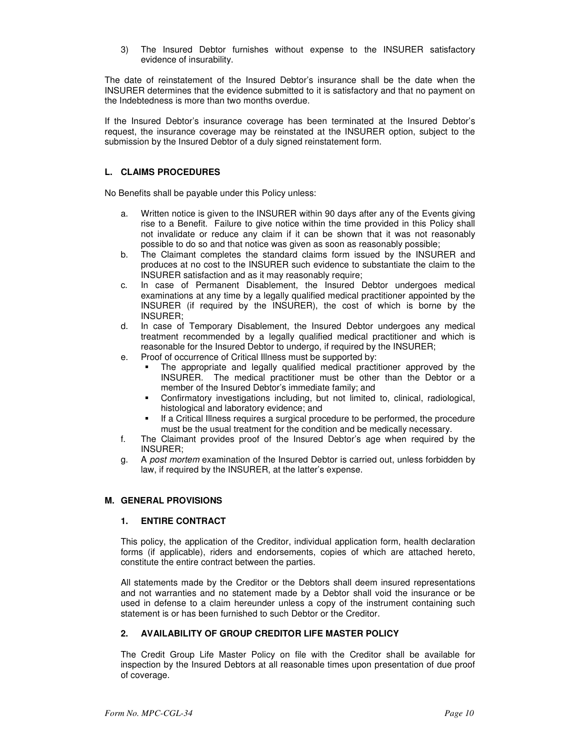3) The Insured Debtor furnishes without expense to the INSURER satisfactory evidence of insurability.

The date of reinstatement of the Insured Debtor's insurance shall be the date when the INSURER determines that the evidence submitted to it is satisfactory and that no payment on the Indebtedness is more than two months overdue.

If the Insured Debtor's insurance coverage has been terminated at the Insured Debtor's request, the insurance coverage may be reinstated at the INSURER option, subject to the submission by the Insured Debtor of a duly signed reinstatement form.

# **L. CLAIMS PROCEDURES**

No Benefits shall be payable under this Policy unless:

- a. Written notice is given to the INSURER within 90 days after any of the Events giving rise to a Benefit. Failure to give notice within the time provided in this Policy shall not invalidate or reduce any claim if it can be shown that it was not reasonably possible to do so and that notice was given as soon as reasonably possible;
- b. The Claimant completes the standard claims form issued by the INSURER and produces at no cost to the INSURER such evidence to substantiate the claim to the INSURER satisfaction and as it may reasonably require;
- c. In case of Permanent Disablement, the Insured Debtor undergoes medical examinations at any time by a legally qualified medical practitioner appointed by the INSURER (if required by the INSURER), the cost of which is borne by the INSURER;
- d. In case of Temporary Disablement, the Insured Debtor undergoes any medical treatment recommended by a legally qualified medical practitioner and which is reasonable for the Insured Debtor to undergo, if required by the INSURER;
- e. Proof of occurrence of Critical Illness must be supported by:
	- The appropriate and legally qualified medical practitioner approved by the INSURER. The medical practitioner must be other than the Debtor or a member of the Insured Debtor's immediate family; and
	- Confirmatory investigations including, but not limited to, clinical, radiological, histological and laboratory evidence; and
	- If a Critical Illness requires a surgical procedure to be performed, the procedure must be the usual treatment for the condition and be medically necessary.
- f. The Claimant provides proof of the Insured Debtor's age when required by the INSURER;
- g. A post mortem examination of the Insured Debtor is carried out, unless forbidden by law, if required by the INSURER, at the latter's expense.

# **M. GENERAL PROVISIONS**

# **1. ENTIRE CONTRACT**

This policy, the application of the Creditor, individual application form, health declaration forms (if applicable), riders and endorsements, copies of which are attached hereto, constitute the entire contract between the parties.

 All statements made by the Creditor or the Debtors shall deem insured representations and not warranties and no statement made by a Debtor shall void the insurance or be used in defense to a claim hereunder unless a copy of the instrument containing such statement is or has been furnished to such Debtor or the Creditor.

# **2. AVAILABILITY OF GROUP CREDITOR LIFE MASTER POLICY**

The Credit Group Life Master Policy on file with the Creditor shall be available for inspection by the Insured Debtors at all reasonable times upon presentation of due proof of coverage.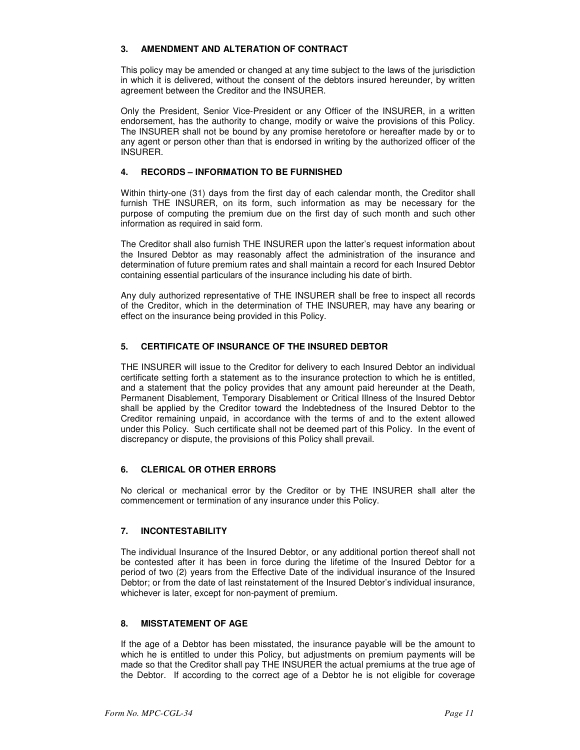# **3. AMENDMENT AND ALTERATION OF CONTRACT**

This policy may be amended or changed at any time subject to the laws of the jurisdiction in which it is delivered, without the consent of the debtors insured hereunder, by written agreement between the Creditor and the INSURER.

 Only the President, Senior Vice-President or any Officer of the INSURER, in a written endorsement, has the authority to change, modify or waive the provisions of this Policy. The INSURER shall not be bound by any promise heretofore or hereafter made by or to any agent or person other than that is endorsed in writing by the authorized officer of the INSURER.

# **4. RECORDS – INFORMATION TO BE FURNISHED**

 Within thirty-one (31) days from the first day of each calendar month, the Creditor shall furnish THE INSURER, on its form, such information as may be necessary for the purpose of computing the premium due on the first day of such month and such other information as required in said form.

 The Creditor shall also furnish THE INSURER upon the latter's request information about the Insured Debtor as may reasonably affect the administration of the insurance and determination of future premium rates and shall maintain a record for each Insured Debtor containing essential particulars of the insurance including his date of birth.

 Any duly authorized representative of THE INSURER shall be free to inspect all records of the Creditor, which in the determination of THE INSURER, may have any bearing or effect on the insurance being provided in this Policy.

# **5. CERTIFICATE OF INSURANCE OF THE INSURED DEBTOR**

THE INSURER will issue to the Creditor for delivery to each Insured Debtor an individual certificate setting forth a statement as to the insurance protection to which he is entitled, and a statement that the policy provides that any amount paid hereunder at the Death, Permanent Disablement, Temporary Disablement or Critical Illness of the Insured Debtor shall be applied by the Creditor toward the Indebtedness of the Insured Debtor to the Creditor remaining unpaid, in accordance with the terms of and to the extent allowed under this Policy. Such certificate shall not be deemed part of this Policy. In the event of discrepancy or dispute, the provisions of this Policy shall prevail.

# **6. CLERICAL OR OTHER ERRORS**

No clerical or mechanical error by the Creditor or by THE INSURER shall alter the commencement or termination of any insurance under this Policy.

# **7. INCONTESTABILITY**

The individual Insurance of the Insured Debtor, or any additional portion thereof shall not be contested after it has been in force during the lifetime of the Insured Debtor for a period of two (2) years from the Effective Date of the individual insurance of the Insured Debtor; or from the date of last reinstatement of the Insured Debtor's individual insurance, whichever is later, except for non-payment of premium.

# **8. MISSTATEMENT OF AGE**

 If the age of a Debtor has been misstated, the insurance payable will be the amount to which he is entitled to under this Policy, but adjustments on premium payments will be made so that the Creditor shall pay THE INSURER the actual premiums at the true age of the Debtor. If according to the correct age of a Debtor he is not eligible for coverage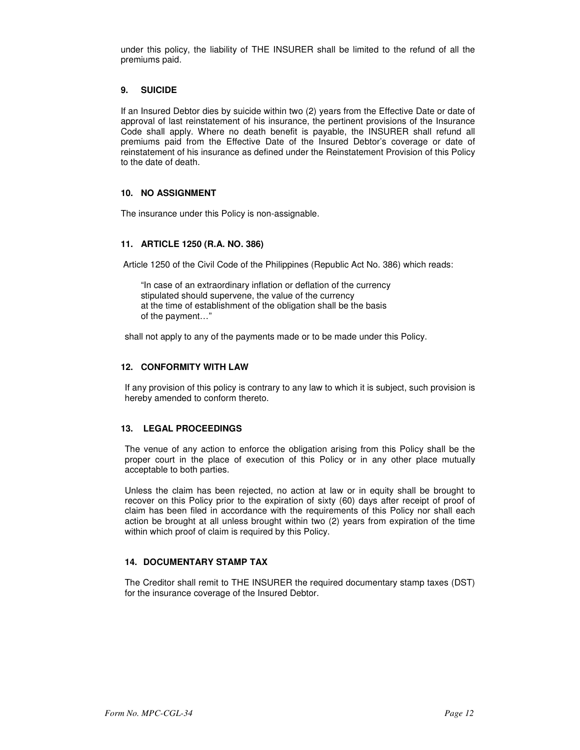under this policy, the liability of THE INSURER shall be limited to the refund of all the premiums paid.

## **9. SUICIDE**

If an Insured Debtor dies by suicide within two (2) years from the Effective Date or date of approval of last reinstatement of his insurance, the pertinent provisions of the Insurance Code shall apply. Where no death benefit is payable, the INSURER shall refund all premiums paid from the Effective Date of the Insured Debtor's coverage or date of reinstatement of his insurance as defined under the Reinstatement Provision of this Policy to the date of death.

### **10. NO ASSIGNMENT**

The insurance under this Policy is non-assignable.

### **11. ARTICLE 1250 (R.A. NO. 386)**

Article 1250 of the Civil Code of the Philippines (Republic Act No. 386) which reads:

 "In case of an extraordinary inflation or deflation of the currency stipulated should supervene, the value of the currency at the time of establishment of the obligation shall be the basis of the payment…"

shall not apply to any of the payments made or to be made under this Policy.

### **12. CONFORMITY WITH LAW**

 If any provision of this policy is contrary to any law to which it is subject, such provision is hereby amended to conform thereto.

#### **13. LEGAL PROCEEDINGS**

The venue of any action to enforce the obligation arising from this Policy shall be the proper court in the place of execution of this Policy or in any other place mutually acceptable to both parties.

 Unless the claim has been rejected, no action at law or in equity shall be brought to recover on this Policy prior to the expiration of sixty (60) days after receipt of proof of claim has been filed in accordance with the requirements of this Policy nor shall each action be brought at all unless brought within two (2) years from expiration of the time within which proof of claim is required by this Policy.

# **14. DOCUMENTARY STAMP TAX**

 The Creditor shall remit to THE INSURER the required documentary stamp taxes (DST) for the insurance coverage of the Insured Debtor.